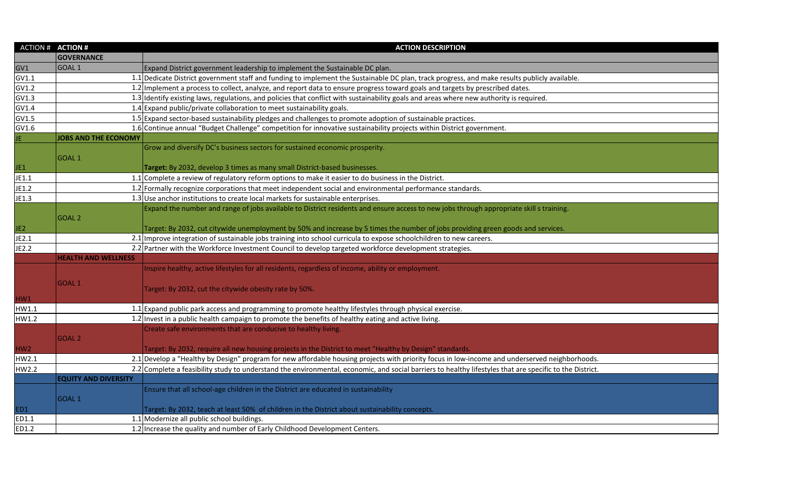| <b>ACTION # ACTION #</b> |                             | <b>ACTION DESCRIPTION</b>                                                                                                                                |
|--------------------------|-----------------------------|----------------------------------------------------------------------------------------------------------------------------------------------------------|
|                          | <b>GOVERNANCE</b>           |                                                                                                                                                          |
| GV1                      | GOAL <sub>1</sub>           | Expand District government leadership to implement the Sustainable DC plan.                                                                              |
| GV1.1                    |                             | 1.1 Dedicate District government staff and funding to implement the Sustainable DC plan, track progress, and make results publicly available.            |
| GV1.2                    |                             | 1.2 Implement a process to collect, analyze, and report data to ensure progress toward goals and targets by prescribed dates.                            |
| GV1.3                    |                             | 1.3 Identify existing laws, regulations, and policies that conflict with sustainability goals and areas where new authority is required.                 |
| GV1.4                    |                             | 1.4 Expand public/private collaboration to meet sustainability goals.                                                                                    |
| GV1.5                    |                             | 1.5 Expand sector-based sustainability pledges and challenges to promote adoption of sustainable practices.                                              |
| GV1.6                    |                             | 1.6 Continue annual "Budget Challenge" competition for innovative sustainability projects within District government.                                    |
| JE.                      | <b>JOBS AND THE ECONOMY</b> |                                                                                                                                                          |
|                          |                             | Grow and diversify DC's business sectors for sustained economic prosperity.                                                                              |
|                          | GOAL <sub>1</sub>           |                                                                                                                                                          |
| JE1                      |                             | Target: By 2032, develop 3 times as many small District-based businesses.                                                                                |
| JE1.1                    |                             | 1.1 Complete a review of regulatory reform options to make it easier to do business in the District.                                                     |
| JE1.2                    |                             | 1.2 Formally recognize corporations that meet independent social and environmental performance standards.                                                |
| JE1.3                    |                             | 1.3 Use anchor institutions to create local markets for sustainable enterprises.                                                                         |
|                          |                             | Expand the number and range of jobs available to District residents and ensure access to new jobs through appropriate skill s training.                  |
|                          | GOAL <sub>2</sub>           |                                                                                                                                                          |
| JE <sub>2</sub>          |                             | Target: By 2032, cut citywide unemployment by 50% and increase by 5 times the number of jobs providing green goods and services.                         |
| JE2.1                    |                             | 2.1 Improve integration of sustainable jobs training into school curricula to expose schoolchildren to new careers.                                      |
| JE2.2                    |                             | 2.2 Partner with the Workforce Investment Council to develop targeted workforce development strategies.                                                  |
|                          | <b>HEALTH AND WELLNESS</b>  |                                                                                                                                                          |
|                          |                             | Inspire healthy, active lifestyles for all residents, regardless of income, ability or employment.                                                       |
|                          | <b>GOAL1</b>                |                                                                                                                                                          |
|                          |                             | Target: By 2032, cut the citywide obesity rate by 50%.                                                                                                   |
| HW1                      |                             |                                                                                                                                                          |
| HW1.1                    |                             | 1.1 Expand public park access and programming to promote healthy lifestyles through physical exercise.                                                   |
| HW1.2                    |                             | 1.2 Invest in a public health campaign to promote the benefits of healthy eating and active living.                                                      |
|                          |                             | Create safe environments that are conducive to healthy living.                                                                                           |
|                          | <b>GOAL 2</b>               |                                                                                                                                                          |
| HW <sub>2</sub>          |                             | Target: By 2032, require all new housing projects in the District to meet "Healthy by Design" standards.                                                 |
| HW2.1                    |                             | 2.1 Develop a "Healthy by Design" program for new affordable housing projects with priority focus in low-income and underserved neighborhoods.           |
| HW2.2                    |                             | 2.2 Complete a feasibility study to understand the environmental, economic, and social barriers to healthy lifestyles that are specific to the District. |
|                          | <b>EQUITY AND DIVERSITY</b> |                                                                                                                                                          |
|                          |                             | Ensure that all school-age children in the District are educated in sustainability                                                                       |
|                          | GOAL <sub>1</sub>           |                                                                                                                                                          |
| ED1                      |                             | Target: By 2032, teach at least 50% of children in the District about sustainability concepts.                                                           |
| ED1.1                    |                             | 1.1 Modernize all public school buildings.                                                                                                               |
| ED1.2                    |                             | 1.2 Increase the quality and number of Early Childhood Development Centers.                                                                              |

| ods.          |  |
|---------------|--|
| <u>trict.</u> |  |
|               |  |
|               |  |
|               |  |
|               |  |
|               |  |
|               |  |
|               |  |
|               |  |
|               |  |
|               |  |
|               |  |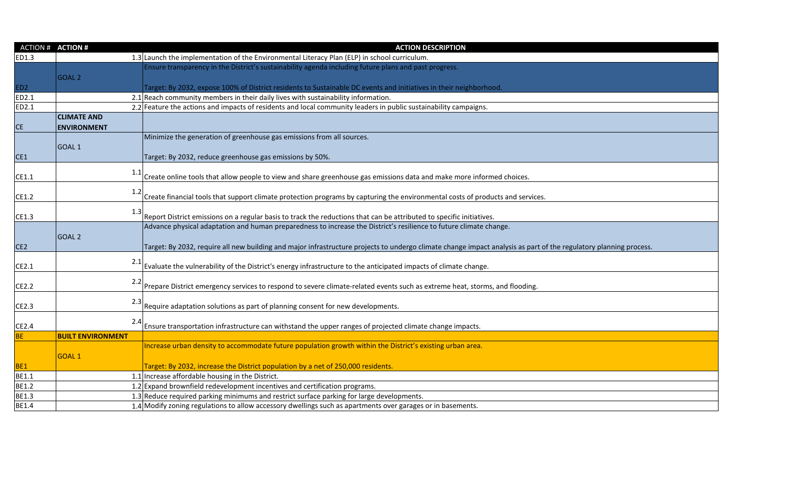| 1.3 Launch the implementation of the Environmental Literacy Plan (ELP) in school curriculum.<br>ED1.3<br>Ensure transparency in the District's sustainability agenda including future plans and past progress.<br><b>GOAL 2</b><br>ED <sub>2</sub><br>Target: By 2032, expose 100% of District residents to Sustainable DC events and initiatives in their neighborhood.<br>ED2.1<br>2.1 Reach community members in their daily lives with sustainability information.<br>ED2.1<br>2.2 Feature the actions and impacts of residents and local community leaders in public sustainability campaigns.<br><b>CLIMATE AND</b><br>CE<br><b>ENVIRONMENT</b><br>Minimize the generation of greenhouse gas emissions from all sources.<br><b>GOAL1</b><br>CE1<br>Target: By 2032, reduce greenhouse gas emissions by 50%.<br>Create online tools that allow people to view and share greenhouse gas emissions data and make more informed choices.<br>CE1.1<br>1.2<br>Create financial tools that support climate protection programs by capturing the environmental costs of products and services.<br>CE1.2<br>CE1.3<br>Report District emissions on a regular basis to track the reductions that can be attributed to specific initiatives.<br>Advance physical adaptation and human preparedness to increase the District's resilience to future climate change.<br><b>GOAL 2</b><br>CE <sub>2</sub><br>Target: By 2032, require all new building and major infrastructure projects to undergo climate change impact analysis as part of the regulatory planning process.<br>Evaluate the vulnerability of the District's energy infrastructure to the anticipated impacts of climate change.<br>CE2.1<br>Prepare District emergency services to respond to severe climate-related events such as extreme heat, storms, and flooding.<br>CE2.2<br>2.3<br>CE2.3<br>Require adaptation solutions as part of planning consent for new developments.<br>Ensure transportation infrastructure can withstand the upper ranges of projected climate change impacts.<br>CE2.4<br><b>BE</b><br><b>BUILT ENVIRONMENT</b><br>Increase urban density to accommodate future population growth within the District's existing urban area.<br>GOAL <sub>1</sub><br>BE <sub>1</sub><br>Target: By 2032, increase the District population by a net of 250,000 residents.<br>BE1.1<br>1.1 Increase affordable housing in the District.<br><b>BE1.2</b><br>1.2 Expand brownfield redevelopment incentives and certification programs.<br>BE1.3<br>1.3 Reduce required parking minimums and restrict surface parking for large developments.<br>1.4 Modify zoning regulations to allow accessory dwellings such as apartments over garages or in basements.<br>BE1.4 | <b>ACTION #</b> | <b>ACTION #</b> | <b>ACTION DESCRIPTION</b> |
|----------------------------------------------------------------------------------------------------------------------------------------------------------------------------------------------------------------------------------------------------------------------------------------------------------------------------------------------------------------------------------------------------------------------------------------------------------------------------------------------------------------------------------------------------------------------------------------------------------------------------------------------------------------------------------------------------------------------------------------------------------------------------------------------------------------------------------------------------------------------------------------------------------------------------------------------------------------------------------------------------------------------------------------------------------------------------------------------------------------------------------------------------------------------------------------------------------------------------------------------------------------------------------------------------------------------------------------------------------------------------------------------------------------------------------------------------------------------------------------------------------------------------------------------------------------------------------------------------------------------------------------------------------------------------------------------------------------------------------------------------------------------------------------------------------------------------------------------------------------------------------------------------------------------------------------------------------------------------------------------------------------------------------------------------------------------------------------------------------------------------------------------------------------------------------------------------------------------------------------------------------------------------------------------------------------------------------------------------------------------------------------------------------------------------------------------------------------------------------------------------------------------------------------------------------------------------------------------------------------------------------------------------------------------------------------------------------------------------------------------|-----------------|-----------------|---------------------------|
|                                                                                                                                                                                                                                                                                                                                                                                                                                                                                                                                                                                                                                                                                                                                                                                                                                                                                                                                                                                                                                                                                                                                                                                                                                                                                                                                                                                                                                                                                                                                                                                                                                                                                                                                                                                                                                                                                                                                                                                                                                                                                                                                                                                                                                                                                                                                                                                                                                                                                                                                                                                                                                                                                                                                              |                 |                 |                           |
|                                                                                                                                                                                                                                                                                                                                                                                                                                                                                                                                                                                                                                                                                                                                                                                                                                                                                                                                                                                                                                                                                                                                                                                                                                                                                                                                                                                                                                                                                                                                                                                                                                                                                                                                                                                                                                                                                                                                                                                                                                                                                                                                                                                                                                                                                                                                                                                                                                                                                                                                                                                                                                                                                                                                              |                 |                 |                           |
|                                                                                                                                                                                                                                                                                                                                                                                                                                                                                                                                                                                                                                                                                                                                                                                                                                                                                                                                                                                                                                                                                                                                                                                                                                                                                                                                                                                                                                                                                                                                                                                                                                                                                                                                                                                                                                                                                                                                                                                                                                                                                                                                                                                                                                                                                                                                                                                                                                                                                                                                                                                                                                                                                                                                              |                 |                 |                           |
|                                                                                                                                                                                                                                                                                                                                                                                                                                                                                                                                                                                                                                                                                                                                                                                                                                                                                                                                                                                                                                                                                                                                                                                                                                                                                                                                                                                                                                                                                                                                                                                                                                                                                                                                                                                                                                                                                                                                                                                                                                                                                                                                                                                                                                                                                                                                                                                                                                                                                                                                                                                                                                                                                                                                              |                 |                 |                           |
|                                                                                                                                                                                                                                                                                                                                                                                                                                                                                                                                                                                                                                                                                                                                                                                                                                                                                                                                                                                                                                                                                                                                                                                                                                                                                                                                                                                                                                                                                                                                                                                                                                                                                                                                                                                                                                                                                                                                                                                                                                                                                                                                                                                                                                                                                                                                                                                                                                                                                                                                                                                                                                                                                                                                              |                 |                 |                           |
|                                                                                                                                                                                                                                                                                                                                                                                                                                                                                                                                                                                                                                                                                                                                                                                                                                                                                                                                                                                                                                                                                                                                                                                                                                                                                                                                                                                                                                                                                                                                                                                                                                                                                                                                                                                                                                                                                                                                                                                                                                                                                                                                                                                                                                                                                                                                                                                                                                                                                                                                                                                                                                                                                                                                              |                 |                 |                           |
|                                                                                                                                                                                                                                                                                                                                                                                                                                                                                                                                                                                                                                                                                                                                                                                                                                                                                                                                                                                                                                                                                                                                                                                                                                                                                                                                                                                                                                                                                                                                                                                                                                                                                                                                                                                                                                                                                                                                                                                                                                                                                                                                                                                                                                                                                                                                                                                                                                                                                                                                                                                                                                                                                                                                              |                 |                 |                           |
|                                                                                                                                                                                                                                                                                                                                                                                                                                                                                                                                                                                                                                                                                                                                                                                                                                                                                                                                                                                                                                                                                                                                                                                                                                                                                                                                                                                                                                                                                                                                                                                                                                                                                                                                                                                                                                                                                                                                                                                                                                                                                                                                                                                                                                                                                                                                                                                                                                                                                                                                                                                                                                                                                                                                              |                 |                 |                           |
|                                                                                                                                                                                                                                                                                                                                                                                                                                                                                                                                                                                                                                                                                                                                                                                                                                                                                                                                                                                                                                                                                                                                                                                                                                                                                                                                                                                                                                                                                                                                                                                                                                                                                                                                                                                                                                                                                                                                                                                                                                                                                                                                                                                                                                                                                                                                                                                                                                                                                                                                                                                                                                                                                                                                              |                 |                 |                           |
|                                                                                                                                                                                                                                                                                                                                                                                                                                                                                                                                                                                                                                                                                                                                                                                                                                                                                                                                                                                                                                                                                                                                                                                                                                                                                                                                                                                                                                                                                                                                                                                                                                                                                                                                                                                                                                                                                                                                                                                                                                                                                                                                                                                                                                                                                                                                                                                                                                                                                                                                                                                                                                                                                                                                              |                 |                 |                           |
|                                                                                                                                                                                                                                                                                                                                                                                                                                                                                                                                                                                                                                                                                                                                                                                                                                                                                                                                                                                                                                                                                                                                                                                                                                                                                                                                                                                                                                                                                                                                                                                                                                                                                                                                                                                                                                                                                                                                                                                                                                                                                                                                                                                                                                                                                                                                                                                                                                                                                                                                                                                                                                                                                                                                              |                 |                 |                           |
|                                                                                                                                                                                                                                                                                                                                                                                                                                                                                                                                                                                                                                                                                                                                                                                                                                                                                                                                                                                                                                                                                                                                                                                                                                                                                                                                                                                                                                                                                                                                                                                                                                                                                                                                                                                                                                                                                                                                                                                                                                                                                                                                                                                                                                                                                                                                                                                                                                                                                                                                                                                                                                                                                                                                              |                 |                 |                           |
|                                                                                                                                                                                                                                                                                                                                                                                                                                                                                                                                                                                                                                                                                                                                                                                                                                                                                                                                                                                                                                                                                                                                                                                                                                                                                                                                                                                                                                                                                                                                                                                                                                                                                                                                                                                                                                                                                                                                                                                                                                                                                                                                                                                                                                                                                                                                                                                                                                                                                                                                                                                                                                                                                                                                              |                 |                 |                           |
|                                                                                                                                                                                                                                                                                                                                                                                                                                                                                                                                                                                                                                                                                                                                                                                                                                                                                                                                                                                                                                                                                                                                                                                                                                                                                                                                                                                                                                                                                                                                                                                                                                                                                                                                                                                                                                                                                                                                                                                                                                                                                                                                                                                                                                                                                                                                                                                                                                                                                                                                                                                                                                                                                                                                              |                 |                 |                           |
|                                                                                                                                                                                                                                                                                                                                                                                                                                                                                                                                                                                                                                                                                                                                                                                                                                                                                                                                                                                                                                                                                                                                                                                                                                                                                                                                                                                                                                                                                                                                                                                                                                                                                                                                                                                                                                                                                                                                                                                                                                                                                                                                                                                                                                                                                                                                                                                                                                                                                                                                                                                                                                                                                                                                              |                 |                 |                           |
|                                                                                                                                                                                                                                                                                                                                                                                                                                                                                                                                                                                                                                                                                                                                                                                                                                                                                                                                                                                                                                                                                                                                                                                                                                                                                                                                                                                                                                                                                                                                                                                                                                                                                                                                                                                                                                                                                                                                                                                                                                                                                                                                                                                                                                                                                                                                                                                                                                                                                                                                                                                                                                                                                                                                              |                 |                 |                           |
|                                                                                                                                                                                                                                                                                                                                                                                                                                                                                                                                                                                                                                                                                                                                                                                                                                                                                                                                                                                                                                                                                                                                                                                                                                                                                                                                                                                                                                                                                                                                                                                                                                                                                                                                                                                                                                                                                                                                                                                                                                                                                                                                                                                                                                                                                                                                                                                                                                                                                                                                                                                                                                                                                                                                              |                 |                 |                           |
|                                                                                                                                                                                                                                                                                                                                                                                                                                                                                                                                                                                                                                                                                                                                                                                                                                                                                                                                                                                                                                                                                                                                                                                                                                                                                                                                                                                                                                                                                                                                                                                                                                                                                                                                                                                                                                                                                                                                                                                                                                                                                                                                                                                                                                                                                                                                                                                                                                                                                                                                                                                                                                                                                                                                              |                 |                 |                           |
|                                                                                                                                                                                                                                                                                                                                                                                                                                                                                                                                                                                                                                                                                                                                                                                                                                                                                                                                                                                                                                                                                                                                                                                                                                                                                                                                                                                                                                                                                                                                                                                                                                                                                                                                                                                                                                                                                                                                                                                                                                                                                                                                                                                                                                                                                                                                                                                                                                                                                                                                                                                                                                                                                                                                              |                 |                 |                           |
|                                                                                                                                                                                                                                                                                                                                                                                                                                                                                                                                                                                                                                                                                                                                                                                                                                                                                                                                                                                                                                                                                                                                                                                                                                                                                                                                                                                                                                                                                                                                                                                                                                                                                                                                                                                                                                                                                                                                                                                                                                                                                                                                                                                                                                                                                                                                                                                                                                                                                                                                                                                                                                                                                                                                              |                 |                 |                           |
|                                                                                                                                                                                                                                                                                                                                                                                                                                                                                                                                                                                                                                                                                                                                                                                                                                                                                                                                                                                                                                                                                                                                                                                                                                                                                                                                                                                                                                                                                                                                                                                                                                                                                                                                                                                                                                                                                                                                                                                                                                                                                                                                                                                                                                                                                                                                                                                                                                                                                                                                                                                                                                                                                                                                              |                 |                 |                           |
|                                                                                                                                                                                                                                                                                                                                                                                                                                                                                                                                                                                                                                                                                                                                                                                                                                                                                                                                                                                                                                                                                                                                                                                                                                                                                                                                                                                                                                                                                                                                                                                                                                                                                                                                                                                                                                                                                                                                                                                                                                                                                                                                                                                                                                                                                                                                                                                                                                                                                                                                                                                                                                                                                                                                              |                 |                 |                           |
|                                                                                                                                                                                                                                                                                                                                                                                                                                                                                                                                                                                                                                                                                                                                                                                                                                                                                                                                                                                                                                                                                                                                                                                                                                                                                                                                                                                                                                                                                                                                                                                                                                                                                                                                                                                                                                                                                                                                                                                                                                                                                                                                                                                                                                                                                                                                                                                                                                                                                                                                                                                                                                                                                                                                              |                 |                 |                           |
|                                                                                                                                                                                                                                                                                                                                                                                                                                                                                                                                                                                                                                                                                                                                                                                                                                                                                                                                                                                                                                                                                                                                                                                                                                                                                                                                                                                                                                                                                                                                                                                                                                                                                                                                                                                                                                                                                                                                                                                                                                                                                                                                                                                                                                                                                                                                                                                                                                                                                                                                                                                                                                                                                                                                              |                 |                 |                           |
|                                                                                                                                                                                                                                                                                                                                                                                                                                                                                                                                                                                                                                                                                                                                                                                                                                                                                                                                                                                                                                                                                                                                                                                                                                                                                                                                                                                                                                                                                                                                                                                                                                                                                                                                                                                                                                                                                                                                                                                                                                                                                                                                                                                                                                                                                                                                                                                                                                                                                                                                                                                                                                                                                                                                              |                 |                 |                           |
|                                                                                                                                                                                                                                                                                                                                                                                                                                                                                                                                                                                                                                                                                                                                                                                                                                                                                                                                                                                                                                                                                                                                                                                                                                                                                                                                                                                                                                                                                                                                                                                                                                                                                                                                                                                                                                                                                                                                                                                                                                                                                                                                                                                                                                                                                                                                                                                                                                                                                                                                                                                                                                                                                                                                              |                 |                 |                           |
|                                                                                                                                                                                                                                                                                                                                                                                                                                                                                                                                                                                                                                                                                                                                                                                                                                                                                                                                                                                                                                                                                                                                                                                                                                                                                                                                                                                                                                                                                                                                                                                                                                                                                                                                                                                                                                                                                                                                                                                                                                                                                                                                                                                                                                                                                                                                                                                                                                                                                                                                                                                                                                                                                                                                              |                 |                 |                           |
|                                                                                                                                                                                                                                                                                                                                                                                                                                                                                                                                                                                                                                                                                                                                                                                                                                                                                                                                                                                                                                                                                                                                                                                                                                                                                                                                                                                                                                                                                                                                                                                                                                                                                                                                                                                                                                                                                                                                                                                                                                                                                                                                                                                                                                                                                                                                                                                                                                                                                                                                                                                                                                                                                                                                              |                 |                 |                           |
|                                                                                                                                                                                                                                                                                                                                                                                                                                                                                                                                                                                                                                                                                                                                                                                                                                                                                                                                                                                                                                                                                                                                                                                                                                                                                                                                                                                                                                                                                                                                                                                                                                                                                                                                                                                                                                                                                                                                                                                                                                                                                                                                                                                                                                                                                                                                                                                                                                                                                                                                                                                                                                                                                                                                              |                 |                 |                           |
|                                                                                                                                                                                                                                                                                                                                                                                                                                                                                                                                                                                                                                                                                                                                                                                                                                                                                                                                                                                                                                                                                                                                                                                                                                                                                                                                                                                                                                                                                                                                                                                                                                                                                                                                                                                                                                                                                                                                                                                                                                                                                                                                                                                                                                                                                                                                                                                                                                                                                                                                                                                                                                                                                                                                              |                 |                 |                           |
|                                                                                                                                                                                                                                                                                                                                                                                                                                                                                                                                                                                                                                                                                                                                                                                                                                                                                                                                                                                                                                                                                                                                                                                                                                                                                                                                                                                                                                                                                                                                                                                                                                                                                                                                                                                                                                                                                                                                                                                                                                                                                                                                                                                                                                                                                                                                                                                                                                                                                                                                                                                                                                                                                                                                              |                 |                 |                           |
|                                                                                                                                                                                                                                                                                                                                                                                                                                                                                                                                                                                                                                                                                                                                                                                                                                                                                                                                                                                                                                                                                                                                                                                                                                                                                                                                                                                                                                                                                                                                                                                                                                                                                                                                                                                                                                                                                                                                                                                                                                                                                                                                                                                                                                                                                                                                                                                                                                                                                                                                                                                                                                                                                                                                              |                 |                 |                           |
|                                                                                                                                                                                                                                                                                                                                                                                                                                                                                                                                                                                                                                                                                                                                                                                                                                                                                                                                                                                                                                                                                                                                                                                                                                                                                                                                                                                                                                                                                                                                                                                                                                                                                                                                                                                                                                                                                                                                                                                                                                                                                                                                                                                                                                                                                                                                                                                                                                                                                                                                                                                                                                                                                                                                              |                 |                 |                           |
|                                                                                                                                                                                                                                                                                                                                                                                                                                                                                                                                                                                                                                                                                                                                                                                                                                                                                                                                                                                                                                                                                                                                                                                                                                                                                                                                                                                                                                                                                                                                                                                                                                                                                                                                                                                                                                                                                                                                                                                                                                                                                                                                                                                                                                                                                                                                                                                                                                                                                                                                                                                                                                                                                                                                              |                 |                 |                           |
|                                                                                                                                                                                                                                                                                                                                                                                                                                                                                                                                                                                                                                                                                                                                                                                                                                                                                                                                                                                                                                                                                                                                                                                                                                                                                                                                                                                                                                                                                                                                                                                                                                                                                                                                                                                                                                                                                                                                                                                                                                                                                                                                                                                                                                                                                                                                                                                                                                                                                                                                                                                                                                                                                                                                              |                 |                 |                           |

| ory planning process. |
|-----------------------|
|                       |
|                       |
|                       |
|                       |
|                       |
|                       |
|                       |
|                       |
|                       |
|                       |
|                       |
|                       |
|                       |
|                       |
|                       |
|                       |
|                       |
|                       |
|                       |
|                       |
|                       |
|                       |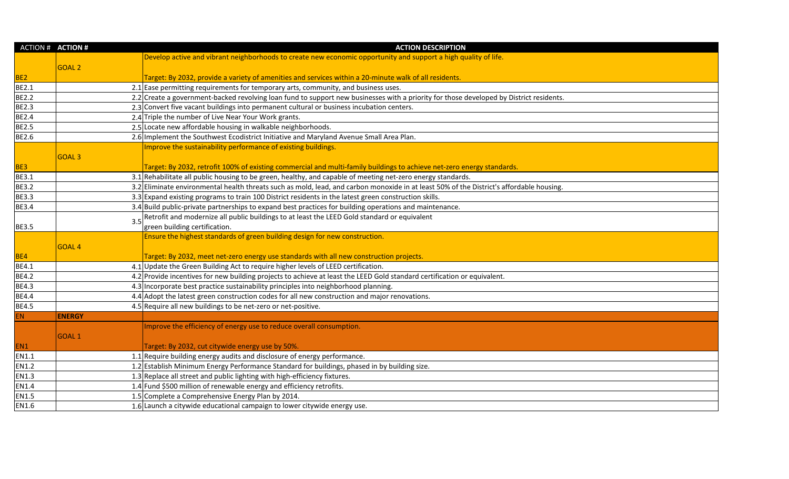|                 | <b>ACTION # ACTION #</b> | <b>ACTION DESCRIPTION</b>                                                                                                                |
|-----------------|--------------------------|------------------------------------------------------------------------------------------------------------------------------------------|
|                 |                          | Develop active and vibrant neighborhoods to create new economic opportunity and support a high quality of life.                          |
|                 | <b>GOAL 2</b>            |                                                                                                                                          |
| BE <sub>2</sub> |                          | Target: By 2032, provide a variety of amenities and services within a 20-minute walk of all residents.                                   |
| <b>BE2.1</b>    |                          | 2.1 Ease permitting requirements for temporary arts, community, and business uses.                                                       |
| <b>BE2.2</b>    |                          | 2.2 Create a government-backed revolving loan fund to support new businesses with a priority for those developed by District residents.  |
| <b>BE2.3</b>    |                          | 2.3 Convert five vacant buildings into permanent cultural or business incubation centers.                                                |
| <b>BE2.4</b>    |                          | 2.4 Triple the number of Live Near Your Work grants.                                                                                     |
| <b>BE2.5</b>    |                          | 2.5 Locate new affordable housing in walkable neighborhoods.                                                                             |
| <b>BE2.6</b>    |                          | 2.6 Implement the Southwest Ecodistrict Initiative and Maryland Avenue Small Area Plan.                                                  |
|                 |                          | Improve the sustainability performance of existing buildings.                                                                            |
|                 | GOAL <sub>3</sub>        |                                                                                                                                          |
| BE3             |                          | Target: By 2032, retrofit 100% of existing commercial and multi-family buildings to achieve net-zero energy standards.                   |
| <b>BE3.1</b>    |                          | 3.1 Rehabilitate all public housing to be green, healthy, and capable of meeting net-zero energy standards.                              |
| <b>BE3.2</b>    |                          | 3.2 Eliminate environmental health threats such as mold, lead, and carbon monoxide in at least 50% of the District's affordable housing. |
| <b>BE3.3</b>    |                          | 3.3 Expand existing programs to train 100 District residents in the latest green construction skills.                                    |
| <b>BE3.4</b>    |                          | 3.4 Build public-private partnerships to expand best practices for building operations and maintenance.                                  |
|                 | 3.5                      | Retrofit and modernize all public buildings to at least the LEED Gold standard or equivalent                                             |
| <b>BE3.5</b>    |                          | green building certification.                                                                                                            |
|                 |                          | Ensure the highest standards of green building design for new construction.                                                              |
|                 | <b>GOAL 4</b>            |                                                                                                                                          |
| BE4             |                          | Target: By 2032, meet net-zero energy use standards with all new construction projects.                                                  |
| <b>BE4.1</b>    |                          | 4.1 Update the Green Building Act to require higher levels of LEED certification.                                                        |
| <b>BE4.2</b>    |                          | 4.2 Provide incentives for new building projects to achieve at least the LEED Gold standard certification or equivalent.                 |
| <b>BE4.3</b>    |                          | 4.3 Incorporate best practice sustainability principles into neighborhood planning.                                                      |
| <b>BE4.4</b>    |                          | 4.4 Adopt the latest green construction codes for all new construction and major renovations.                                            |
| <b>BE4.5</b>    |                          | 4.5 Require all new buildings to be net-zero or net-positive.                                                                            |
| <b>EN</b>       | <b>ENERGY</b>            |                                                                                                                                          |
|                 |                          | Improve the efficiency of energy use to reduce overall consumption.                                                                      |
|                 | GOAL <sub>1</sub>        |                                                                                                                                          |
| EN1             |                          | Target: By 2032, cut citywide energy use by 50%.                                                                                         |
| EN1.1           |                          | 1.1 Require building energy audits and disclosure of energy performance.                                                                 |
| <b>EN1.2</b>    |                          | 1.2 Establish Minimum Energy Performance Standard for buildings, phased in by building size.                                             |
| EN1.3           |                          | 1.3 Replace all street and public lighting with high-efficiency fixtures.                                                                |
| EN1.4           |                          | 1.4 Fund \$500 million of renewable energy and efficiency retrofits.                                                                     |
| EN1.5           |                          | 1.5 Complete a Comprehensive Energy Plan by 2014.                                                                                        |
| EN1.6           |                          | 1.6 Launch a citywide educational campaign to lower citywide energy use.                                                                 |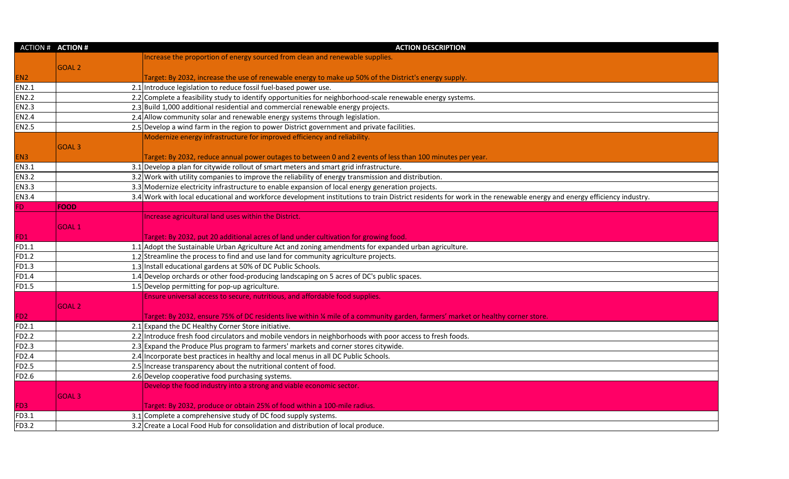|                 | <b>ACTION # ACTION #</b> | <b>ACTION DESCRIPTION</b>                                                                                                                                         |
|-----------------|--------------------------|-------------------------------------------------------------------------------------------------------------------------------------------------------------------|
|                 |                          | Increase the proportion of energy sourced from clean and renewable supplies.                                                                                      |
|                 | <b>GOAL 2</b>            |                                                                                                                                                                   |
| EN <sub>2</sub> |                          | Target: By 2032, increase the use of renewable energy to make up 50% of the District's energy supply.                                                             |
| <b>EN2.1</b>    |                          | 2.1 Introduce legislation to reduce fossil fuel-based power use.                                                                                                  |
| <b>EN2.2</b>    |                          | 2.2 Complete a feasibility study to identify opportunities for neighborhood-scale renewable energy systems.                                                       |
| <b>EN2.3</b>    |                          | 2.3 Build 1,000 additional residential and commercial renewable energy projects.                                                                                  |
| <b>EN2.4</b>    |                          | 2.4 Allow community solar and renewable energy systems through legislation.                                                                                       |
| <b>EN2.5</b>    |                          | 2.5 Develop a wind farm in the region to power District government and private facilities.                                                                        |
|                 |                          | Modernize energy infrastructure for improved efficiency and reliability.                                                                                          |
|                 | GOAL <sub>3</sub>        |                                                                                                                                                                   |
| EN <sub>3</sub> |                          | Target: By 2032, reduce annual power outages to between 0 and 2 events of less than 100 minutes per year.                                                         |
| <b>EN3.1</b>    |                          | 3.1 Develop a plan for citywide rollout of smart meters and smart grid infrastructure.                                                                            |
| <b>EN3.2</b>    |                          | 3.2 Work with utility companies to improve the reliability of energy transmission and distribution.                                                               |
| <b>EN3.3</b>    |                          | 3.3 Modernize electricity infrastructure to enable expansion of local energy generation projects.                                                                 |
| <b>EN3.4</b>    |                          | 3.4 Work with local educational and workforce development institutions to train District residents for work in the renewable energy and energy efficiency industr |
| FD.             | <b>FOOD</b>              |                                                                                                                                                                   |
|                 |                          | Increase agricultural land uses within the District.                                                                                                              |
|                 | <b>GOAL1</b>             |                                                                                                                                                                   |
| FD1             |                          | Target: By 2032, put 20 additional acres of land under cultivation for growing food.                                                                              |
| FD1.1           |                          | 1.1 Adopt the Sustainable Urban Agriculture Act and zoning amendments for expanded urban agriculture.                                                             |
| FD1.2           |                          | 1.2 Streamline the process to find and use land for community agriculture projects.                                                                               |
| FD1.3           |                          | 1.3 Install educational gardens at 50% of DC Public Schools.                                                                                                      |
| FD1.4           |                          | 1.4 Develop orchards or other food-producing landscaping on 5 acres of DC's public spaces.                                                                        |
| FD1.5           |                          | 1.5 Develop permitting for pop-up agriculture.                                                                                                                    |
|                 |                          | Ensure universal access to secure, nutritious, and affordable food supplies.                                                                                      |
|                 | <b>GOAL 2</b>            |                                                                                                                                                                   |
| FD <sub>2</sub> |                          | Target: By 2032, ensure 75% of DC residents live within ¼ mile of a community garden, farmers' market or healthy corner store.                                    |
| FD2.1           |                          | 2.1 Expand the DC Healthy Corner Store initiative.                                                                                                                |
| <b>FD2.2</b>    |                          | 2.2 Introduce fresh food circulators and mobile vendors in neighborhoods with poor access to fresh foods.                                                         |
| <b>FD2.3</b>    |                          | 2.3 Expand the Produce Plus program to farmers' markets and corner stores citywide.                                                                               |
| <b>FD2.4</b>    |                          | 2.4 Incorporate best practices in healthy and local menus in all DC Public Schools.                                                                               |
| FD2.5           |                          | 2.5 Increase transparency about the nutritional content of food.                                                                                                  |
| FD2.6           |                          | 2.6 Develop cooperative food purchasing systems.                                                                                                                  |
|                 |                          | Develop the food industry into a strong and viable economic sector.                                                                                               |
|                 | <b>GOAL 3</b>            |                                                                                                                                                                   |
| FD3             |                          | Target: By 2032, produce or obtain 25% of food within a 100-mile radius.                                                                                          |
| FD3.1           |                          | 3.1 Complete a comprehensive study of DC food supply systems.                                                                                                     |
| FD3.2           |                          | 3.2 Create a Local Food Hub for consolidation and distribution of local produce.                                                                                  |

| d energy efficiency industry. |
|-------------------------------|
|                               |
|                               |
|                               |
|                               |
|                               |
|                               |
|                               |
|                               |
|                               |
|                               |
|                               |
|                               |
|                               |
|                               |
|                               |
|                               |
|                               |
|                               |
|                               |
|                               |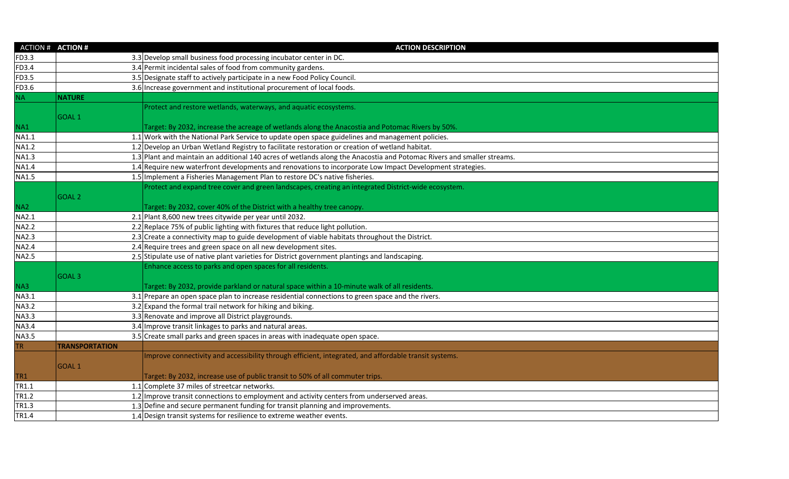|                 | ACTION # <b>ACTION #</b> | <b>ACTION DESCRIPTION</b>                                                                                              |
|-----------------|--------------------------|------------------------------------------------------------------------------------------------------------------------|
| FD3.3           |                          | 3.3 Develop small business food processing incubator center in DC.                                                     |
| FD3.4           |                          | 3.4 Permit incidental sales of food from community gardens.                                                            |
| FD3.5           |                          | 3.5 Designate staff to actively participate in a new Food Policy Council.                                              |
| FD3.6           |                          | 3.6 Increase government and institutional procurement of local foods.                                                  |
| <b>NA</b>       | <b>NATURE</b>            |                                                                                                                        |
|                 |                          | Protect and restore wetlands, waterways, and aquatic ecosystems.                                                       |
|                 | GOAL <sub>1</sub>        |                                                                                                                        |
| NA1             |                          | Target: By 2032, increase the acreage of wetlands along the Anacostia and Potomac Rivers by 50%.                       |
| <b>NA1.1</b>    |                          | 1.1 Work with the National Park Service to update open space guidelines and management policies.                       |
| <b>NA1.2</b>    |                          | 1.2 Develop an Urban Wetland Registry to facilitate restoration or creation of wetland habitat.                        |
| <b>NA1.3</b>    |                          | 1.3 Plant and maintain an additional 140 acres of wetlands along the Anacostia and Potomac Rivers and smaller streams. |
| <b>NA1.4</b>    |                          | 1.4 Require new waterfront developments and renovations to incorporate Low Impact Development strategies.              |
| <b>NA1.5</b>    |                          | 1.5 Implement a Fisheries Management Plan to restore DC's native fisheries.                                            |
|                 |                          | Protect and expand tree cover and green landscapes, creating an integrated District-wide ecosystem.                    |
|                 | GOAL <sub>2</sub>        |                                                                                                                        |
| NA <sub>2</sub> |                          | Target: By 2032, cover 40% of the District with a healthy tree canopy.                                                 |
| NA2.1           |                          | 2.1 Plant 8,600 new trees citywide per year until 2032.                                                                |
| <b>NA2.2</b>    |                          | 2.2 Replace 75% of public lighting with fixtures that reduce light pollution.                                          |
| <b>NA2.3</b>    |                          | 2.3 Create a connectivity map to guide development of viable habitats throughout the District.                         |
| <b>NA2.4</b>    |                          | 2.4 Require trees and green space on all new development sites.                                                        |
| <b>NA2.5</b>    |                          | 2.5 Stipulate use of native plant varieties for District government plantings and landscaping.                         |
|                 |                          | Enhance access to parks and open spaces for all residents.                                                             |
|                 | GOAL <sub>3</sub>        |                                                                                                                        |
| NA3             |                          | Target: By 2032, provide parkland or natural space within a 10-minute walk of all residents.                           |
| <b>NA3.1</b>    |                          | $3.1$ Prepare an open space plan to increase residential connections to green space and the rivers.                    |
| <b>NA3.2</b>    |                          | 3.2 Expand the formal trail network for hiking and biking.                                                             |
| <b>NA3.3</b>    |                          | 3.3 Renovate and improve all District playgrounds.                                                                     |
| <b>NA3.4</b>    |                          | 3.4 Improve transit linkages to parks and natural areas.                                                               |
| <b>NA3.5</b>    |                          | 3.5 Create small parks and green spaces in areas with inadequate open space.                                           |
| <b>TR</b>       | <b>TRANSPORTATION</b>    |                                                                                                                        |
|                 |                          | Improve connectivity and accessibility through efficient, integrated, and affordable transit systems.                  |
|                 | GOAL 1                   |                                                                                                                        |
| TR <sub>1</sub> |                          | Target: By 2032, increase use of public transit to 50% of all commuter trips.                                          |
| TR1.1           |                          | 1.1 Complete 37 miles of streetcar networks.                                                                           |
| TR1.2           |                          | 1.2 Improve transit connections to employment and activity centers from underserved areas.                             |
| TR1.3           |                          | 1.3 Define and secure permanent funding for transit planning and improvements.                                         |
| TR1.4           |                          | 1.4 Design transit systems for resilience to extreme weather events.                                                   |
|                 |                          |                                                                                                                        |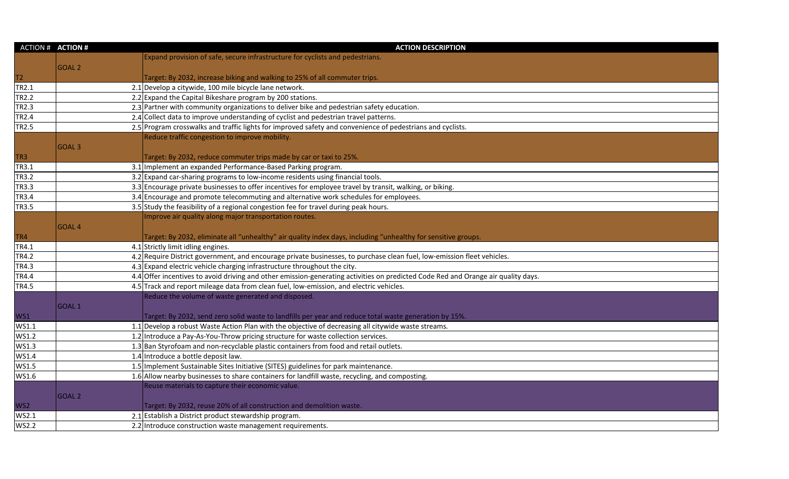| <b>ACTION # ACTION #</b> |                   | <b>ACTION DESCRIPTION</b>                                                                                                         |
|--------------------------|-------------------|-----------------------------------------------------------------------------------------------------------------------------------|
|                          |                   | Expand provision of safe, secure infrastructure for cyclists and pedestrians.                                                     |
|                          | <b>GOAL 2</b>     |                                                                                                                                   |
| T <sub>2</sub>           |                   | Target: By 2032, increase biking and walking to 25% of all commuter trips.                                                        |
| TR2.1                    |                   | 2.1 Develop a citywide, 100 mile bicycle lane network.                                                                            |
| <b>TR2.2</b>             |                   | 2.2 Expand the Capital Bikeshare program by 200 stations.                                                                         |
| <b>TR2.3</b>             |                   | 2.3 Partner with community organizations to deliver bike and pedestrian safety education.                                         |
| <b>TR2.4</b>             |                   | 2.4 Collect data to improve understanding of cyclist and pedestrian travel patterns.                                              |
| <b>TR2.5</b>             |                   | 2.5 Program crosswalks and traffic lights for improved safety and convenience of pedestrians and cyclists.                        |
|                          |                   | Reduce traffic congestion to improve mobility.                                                                                    |
|                          | GOAL <sub>3</sub> |                                                                                                                                   |
| TR3                      |                   | Target: By 2032, reduce commuter trips made by car or taxi to 25%.                                                                |
| TR3.1                    |                   | 3.1 Implement an expanded Performance-Based Parking program.                                                                      |
| <b>TR3.2</b>             |                   | 3.2 Expand car-sharing programs to low-income residents using financial tools.                                                    |
| <b>TR3.3</b>             |                   | 3.3 Encourage private businesses to offer incentives for employee travel by transit, walking, or biking.                          |
| <b>TR3.4</b>             |                   | 3.4 Encourage and promote telecommuting and alternative work schedules for employees.                                             |
| <b>TR3.5</b>             |                   | 3.5 Study the feasibility of a regional congestion fee for travel during peak hours.                                              |
|                          |                   | Improve air quality along major transportation routes.                                                                            |
|                          | GOAL <sub>4</sub> |                                                                                                                                   |
| TR4                      |                   | Target: By 2032, eliminate all "unhealthy" air quality index days, including "unhealthy for sensitive groups.                     |
| TR4.1                    |                   | 4.1 Strictly limit idling engines.                                                                                                |
| <b>TR4.2</b>             |                   | 4.2 Require District government, and encourage private businesses, to purchase clean fuel, low-emission fleet vehicles.           |
| <b>TR4.3</b>             |                   | 4.3 Expand electric vehicle charging infrastructure throughout the city.                                                          |
| <b>TR4.4</b>             |                   | 4.4 Offer incentives to avoid driving and other emission-generating activities on predicted Code Red and Orange air quality days. |
| <b>TR4.5</b>             |                   | 4.5 Track and report mileage data from clean fuel, low-emission, and electric vehicles.                                           |
|                          |                   | Reduce the volume of waste generated and disposed.                                                                                |
|                          | GOAL <sub>1</sub> |                                                                                                                                   |
| WS1                      |                   | Target: By 2032, send zero solid waste to landfills per year and reduce total waste generation by 15%.                            |
| WS1.1                    |                   | 1.1 Develop a robust Waste Action Plan with the objective of decreasing all citywide waste streams.                               |
| WS1.2                    |                   | 1.2 Introduce a Pay-As-You-Throw pricing structure for waste collection services.                                                 |
| WS1.3                    |                   | 1.3 Ban Styrofoam and non-recyclable plastic containers from food and retail outlets.                                             |
| WS1.4                    |                   | 1.4 Introduce a bottle deposit law.                                                                                               |
| WS1.5                    |                   | 1.5 Implement Sustainable Sites Initiative (SITES) guidelines for park maintenance.                                               |
| WS1.6                    |                   | 1.6 Allow nearby businesses to share containers for landfill waste, recycling, and composting.                                    |
|                          |                   | Reuse materials to capture their economic value.                                                                                  |
|                          | <b>GOAL 2</b>     |                                                                                                                                   |
| WS <sub>2</sub>          |                   | Target: By 2032, reuse 20% of all construction and demolition waste.                                                              |
| WS2.1                    |                   | 2.1 Establish a District product stewardship program.                                                                             |
| <b>WS2.2</b>             |                   | 2.2 Introduce construction waste management requirements.                                                                         |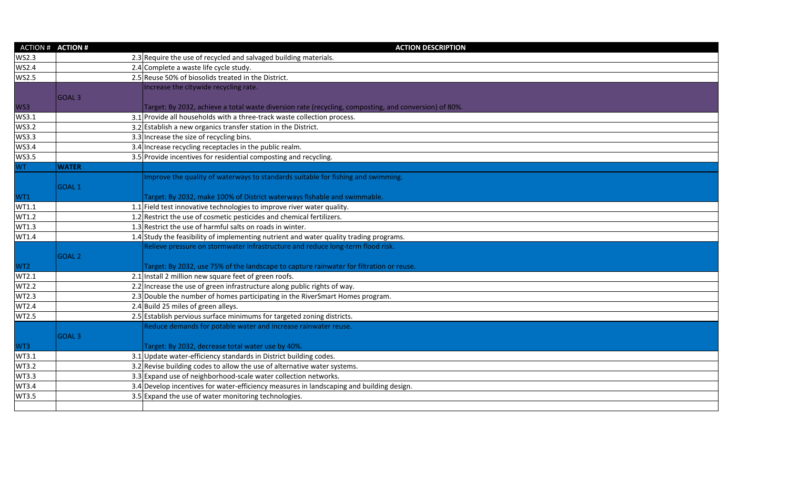| <b>ACTION # ACTION #</b> |                   | <b>ACTION DESCRIPTION</b>                                                                             |
|--------------------------|-------------------|-------------------------------------------------------------------------------------------------------|
| <b>WS2.3</b>             |                   | 2.3 Require the use of recycled and salvaged building materials.                                      |
| <b>WS2.4</b>             |                   | 2.4 Complete a waste life cycle study.                                                                |
| <b>WS2.5</b>             |                   | 2.5 Reuse 50% of biosolids treated in the District.                                                   |
|                          |                   | Increase the citywide recycling rate.                                                                 |
|                          | <b>GOAL3</b>      |                                                                                                       |
| WS3                      |                   | Target: By 2032, achieve a total waste diversion rate (recycling, composting, and conversion) of 80%. |
| WS3.1                    |                   | 3.1 Provide all households with a three-track waste collection process.                               |
| <b>WS3.2</b>             |                   | 3.2 Establish a new organics transfer station in the District.                                        |
| WS3.3                    |                   | 3.3 Increase the size of recycling bins.                                                              |
| <b>WS3.4</b>             |                   | 3.4 Increase recycling receptacles in the public realm.                                               |
| <b>WS3.5</b>             |                   | 3.5 Provide incentives for residential composting and recycling.                                      |
| WT.                      | <b>WATER</b>      |                                                                                                       |
|                          |                   | Improve the quality of waterways to standards suitable for fishing and swimming.                      |
|                          | GOAL <sub>1</sub> |                                                                                                       |
| WT1                      |                   | Target: By 2032, make 100% of District waterways fishable and swimmable.                              |
| WT1.1                    |                   | $1.1$ Field test innovative technologies to improve river water quality.                              |
| WT1.2                    |                   | 1.2 Restrict the use of cosmetic pesticides and chemical fertilizers.                                 |
| WT1.3                    |                   | 1.3 Restrict the use of harmful salts on roads in winter.                                             |
| WT1.4                    |                   | 1.4 Study the feasibility of implementing nutrient and water quality trading programs.                |
|                          |                   | Relieve pressure on stormwater infrastructure and reduce long-term flood risk.                        |
|                          | GOAL <sub>2</sub> |                                                                                                       |
| WT <sub>2</sub>          |                   | Target: By 2032, use 75% of the landscape to capture rainwater for filtration or reuse.               |
| WT2.1                    |                   | 2.1 Install 2 million new square feet of green roofs.                                                 |
| <b>WT2.2</b>             |                   | 2.2 Increase the use of green infrastructure along public rights of way.                              |
| WT2.3                    |                   | 2.3 Double the number of homes participating in the RiverSmart Homes program.                         |
| WT2.4                    |                   | 2.4 Build 25 miles of green alleys.                                                                   |
| WT2.5                    |                   | 2.5 Establish pervious surface minimums for targeted zoning districts.                                |
|                          |                   | Reduce demands for potable water and increase rainwater reuse.                                        |
|                          | GOAL <sub>3</sub> |                                                                                                       |
| WT3                      |                   | Target: By 2032, decrease total water use by 40%.                                                     |
| WT3.1                    |                   | 3.1 Update water-efficiency standards in District building codes.                                     |
| WT3.2                    |                   | 3.2 Revise building codes to allow the use of alternative water systems.                              |
| WT3.3                    |                   | 3.3 Expand use of neighborhood-scale water collection networks.                                       |
| WT3.4                    |                   | 3.4 Develop incentives for water-efficiency measures in landscaping and building design.              |
| WT3.5                    |                   | 3.5 Expand the use of water monitoring technologies.                                                  |
|                          |                   |                                                                                                       |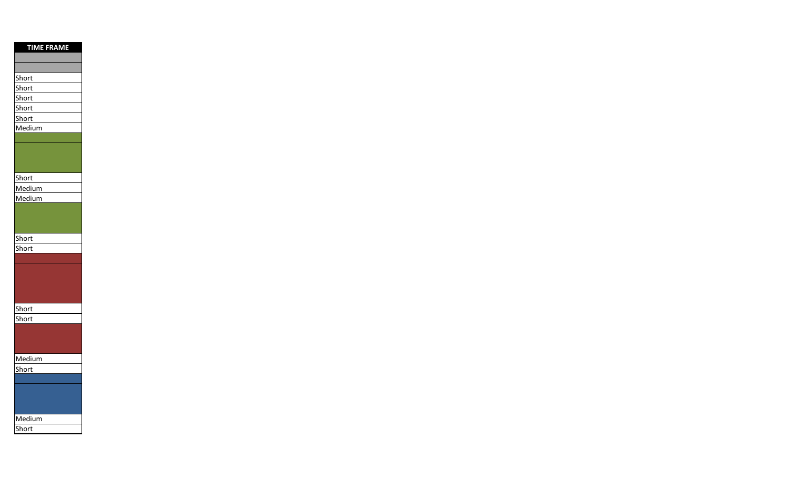| <b>TIME FRAME</b> |
|-------------------|
|                   |
|                   |
| Short             |
| Short             |
| Short             |
| Short             |
| Short             |
| Medium            |
|                   |
|                   |
|                   |
|                   |
| Short             |
| Medium            |
| Medium            |
|                   |
|                   |
| <b>Short</b>      |
| Short             |
|                   |
|                   |
|                   |
|                   |
|                   |
| Short             |
| Short             |
|                   |
|                   |
|                   |
| Medium            |
| Short             |
|                   |
|                   |
|                   |
|                   |
| Medium            |
| Short             |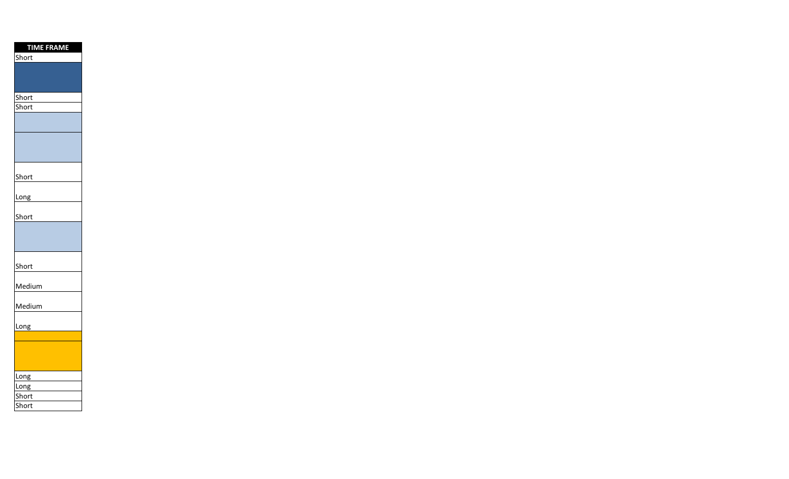| <b>TIME FRAME</b>   |  |
|---------------------|--|
| Short               |  |
|                     |  |
|                     |  |
|                     |  |
| Short<br>Short      |  |
|                     |  |
|                     |  |
|                     |  |
|                     |  |
|                     |  |
|                     |  |
| Short               |  |
|                     |  |
|                     |  |
| Short               |  |
|                     |  |
|                     |  |
|                     |  |
|                     |  |
| Short               |  |
| Medium              |  |
|                     |  |
| Medium              |  |
|                     |  |
| Long                |  |
|                     |  |
|                     |  |
|                     |  |
|                     |  |
| Long<br><b>Long</b> |  |
| Short               |  |
| hort                |  |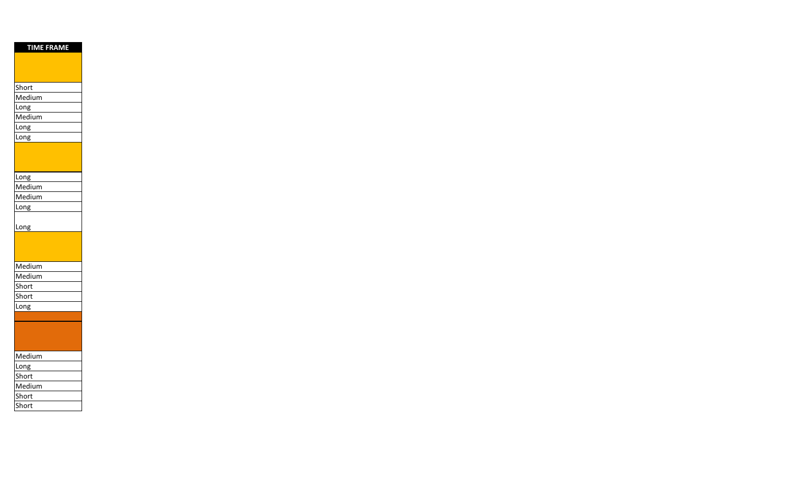| <b>TIME FRAME</b> |  |
|-------------------|--|
|                   |  |
|                   |  |
|                   |  |
| Short             |  |
| Medium            |  |
| Long              |  |
| Medium            |  |
| Long              |  |
| Long              |  |
|                   |  |
|                   |  |
|                   |  |
| Long              |  |
| Medium            |  |
| Medium            |  |
| Long              |  |
|                   |  |
| Long              |  |
|                   |  |
|                   |  |
|                   |  |
| Medium            |  |
| Medium            |  |
| Short             |  |
| Short             |  |
| Long              |  |
|                   |  |
|                   |  |
|                   |  |
|                   |  |
| Medium            |  |
| Long              |  |
| Short             |  |
| Medium            |  |
| Short             |  |
| short             |  |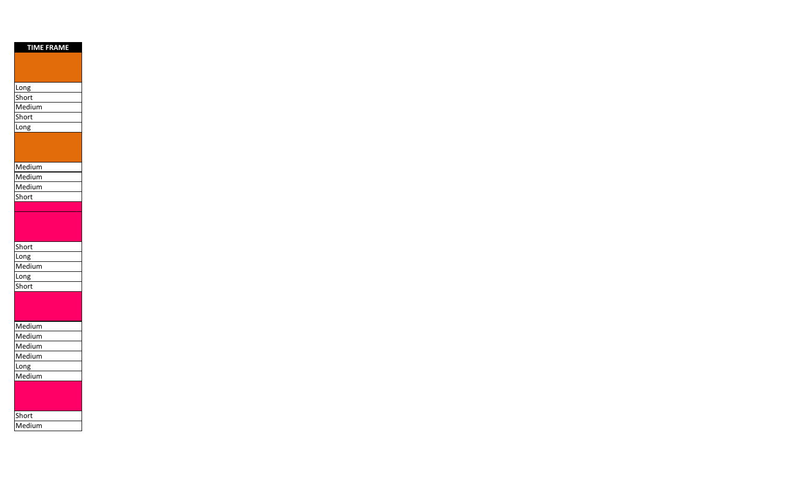| <b>TIME FRAME</b> |
|-------------------|
|                   |
|                   |
|                   |
| Long              |
| Short             |
| Medium            |
| Short             |
| Long              |
|                   |
|                   |
|                   |
| Medium            |
| Medium            |
| Medium            |
| Short             |
|                   |
|                   |
|                   |
| Short             |
| Long              |
| Medium            |
| Long              |
| Short             |
|                   |
|                   |
|                   |
| Medium            |
| Medium            |
| Medium            |
| Medium            |
| Long              |
| Medium            |
|                   |
|                   |
|                   |
| Short             |
| Medium            |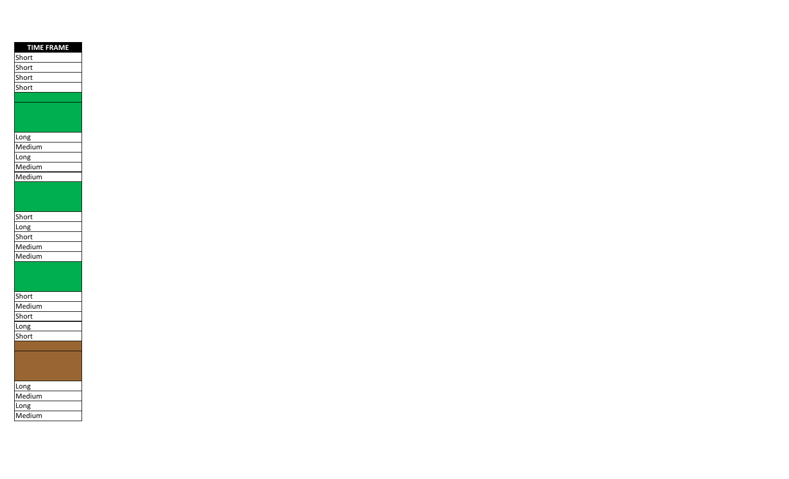| <b>TIME FRAME</b> |
|-------------------|
| Short             |
| Short             |
| Short             |
| Short             |
|                   |
|                   |
|                   |
|                   |
| Long              |
| Medium            |
| Long              |
| Medium            |
| Medium            |
|                   |
|                   |
|                   |
| Short             |
| Long              |
| Short             |
| Medium            |
| Medium            |
|                   |
|                   |
|                   |
| Short             |
| Medium            |
| Short             |
| Long              |
| Short             |
|                   |
|                   |
|                   |
| Long              |
| Medium            |
| Long              |
| Medium            |
|                   |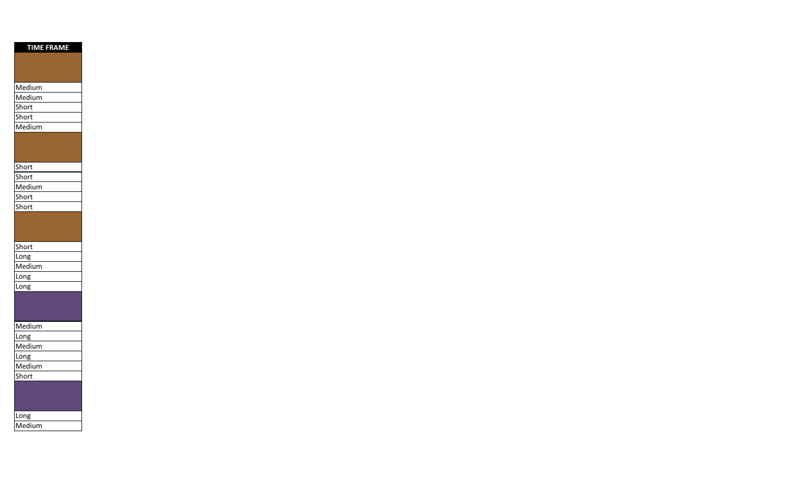| <b>TIME FRAME</b> |
|-------------------|
|                   |
|                   |
|                   |
| Medium            |
| Medium            |
| Short             |
| Short             |
| Medium            |
|                   |
|                   |
| Short             |
| Short             |
| Medium            |
| Short             |
| Short             |
|                   |
|                   |
|                   |
| Short             |
| Long              |
| Medium            |
| Long              |
| Long              |
|                   |
|                   |
|                   |
| Medium            |
| Long              |
| Medium            |
| Long              |
| Medium            |
| Short             |
|                   |
|                   |
|                   |
| Long              |
| Medium            |